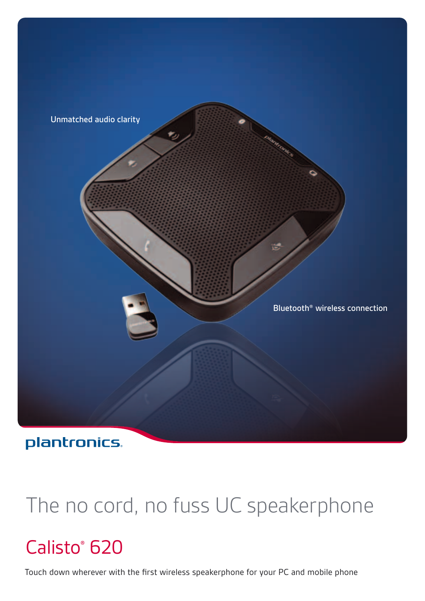

### plantronics.

# The no cord, no fuss UC speakerphone

# Calisto<sup>®</sup> 620

Touch down wherever with the first wireless speakerphone for your PC and mobile phone